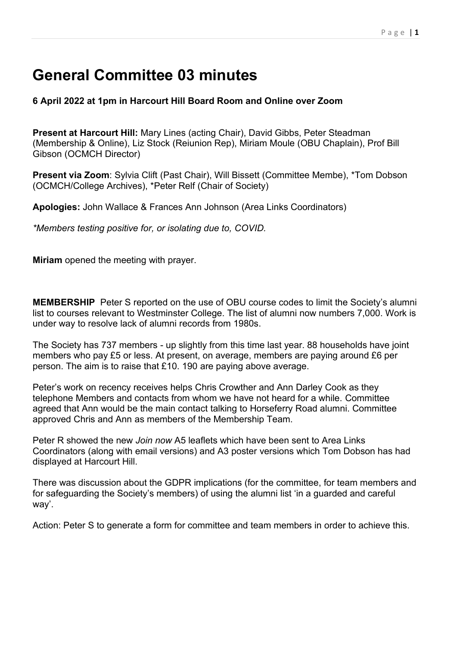## **General Committee 03 minutes**

## **6 April 2022 at 1pm in Harcourt Hill Board Room and Online over Zoom**

**Present at Harcourt Hill:** Mary Lines (acting Chair), David Gibbs, Peter Steadman (Membership & Online), Liz Stock (Reiunion Rep), Miriam Moule (OBU Chaplain), Prof Bill Gibson (OCMCH Director)

**Present via Zoom**: Sylvia Clift (Past Chair), Will Bissett (Committee Membe), \*Tom Dobson (OCMCH/College Archives), \*Peter Relf (Chair of Society)

**Apologies:** John Wallace & Frances Ann Johnson (Area Links Coordinators)

*\*Members testing positive for, or isolating due to, COVID.*

**Miriam** opened the meeting with prayer.

**MEMBERSHIP** Peter S reported on the use of OBU course codes to limit the Society's alumni list to courses relevant to Westminster College. The list of alumni now numbers 7,000. Work is under way to resolve lack of alumni records from 1980s.

The Society has 737 members - up slightly from this time last year. 88 households have joint members who pay £5 or less. At present, on average, members are paying around £6 per person. The aim is to raise that £10. 190 are paying above average.

Peter's work on recency receives helps Chris Crowther and Ann Darley Cook as they telephone Members and contacts from whom we have not heard for a while. Committee agreed that Ann would be the main contact talking to Horseferry Road alumni. Committee approved Chris and Ann as members of the Membership Team.

Peter R showed the new *Join now* A5 leaflets which have been sent to Area Links Coordinators (along with email versions) and A3 poster versions which Tom Dobson has had displayed at Harcourt Hill.

There was discussion about the GDPR implications (for the committee, for team members and for safeguarding the Society's members) of using the alumni list 'in a guarded and careful way'.

Action: Peter S to generate a form for committee and team members in order to achieve this.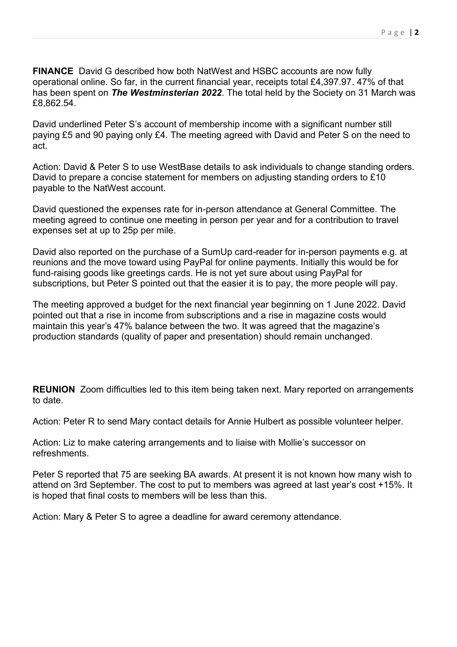**FINANCE** David G described how both NatWest and HSBC accounts are now fully operational online. So far, in the current financial year, receipts total £4,397.97. 47% of that has been spent on *The Westminsterian 2022*. The total held by the Society on 31 March was £8,862.54.

David underlined Peter S's account of membership income with a significant number still paying £5 and 90 paying only £4. The meeting agreed with David and Peter S on the need to act.

Action: David & Peter S to use WestBase details to ask individuals to change standing orders. David to prepare a concise statement for members on adjusting standing orders to £10 payable to the NatWest account.

David questioned the expenses rate for in-person attendance at General Committee. The meeting agreed to continue one meeting in person per year and for a contribution to travel expenses set at up to 25p per mile.

David also reported on the purchase of a SumUp card-reader for in-person payments e.g. at reunions and the move toward using PayPal for online payments. Initially this would be for fund-raising goods like greetings cards. He is not yet sure about using PayPal for subscriptions, but Peter S pointed out that the easier it is to pay, the more people will pay.

The meeting approved a budget for the next financial year beginning on 1 June 2022. David pointed out that a rise in income from subscriptions and a rise in magazine costs would maintain this year's 47% balance between the two. It was agreed that the magazine's production standards (quality of paper and presentation) should remain unchanged.

**REUNION** Zoom difficulties led to this item being taken next. Mary reported on arrangements to date.

Action: Peter R to send Mary contact details for Annie Hulbert as possible volunteer helper.

Action: Liz to make catering arrangements and to liaise with Mollie's successor on refreshments.

Peter S reported that 75 are seeking BA awards. At present it is not known how many wish to attend on 3rd September. The cost to put to members was agreed at last year's cost +15%. It is hoped that final costs to members will be less than this.

Action: Mary & Peter S to agree a deadline for award ceremony attendance.